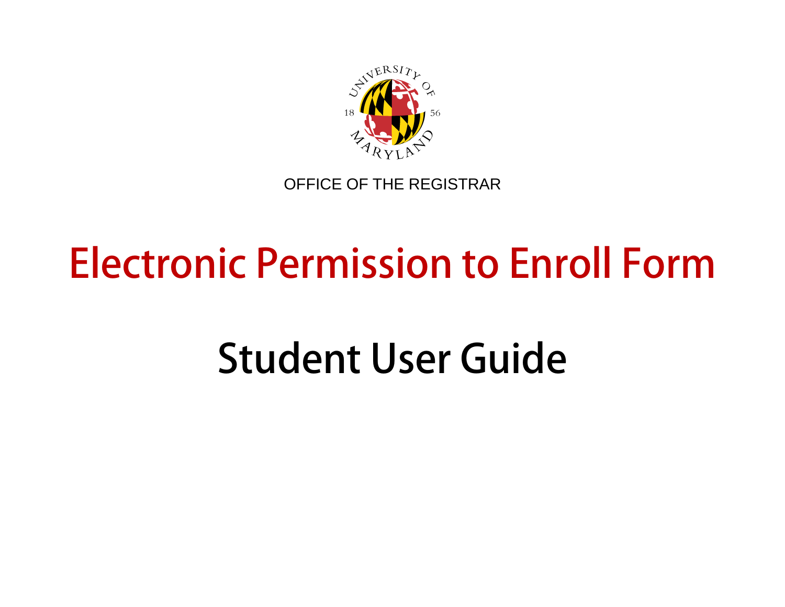

OFFICE OF THE REGISTRAR

## **Electronic Permission to Enroll Form**

# **Student User Guide**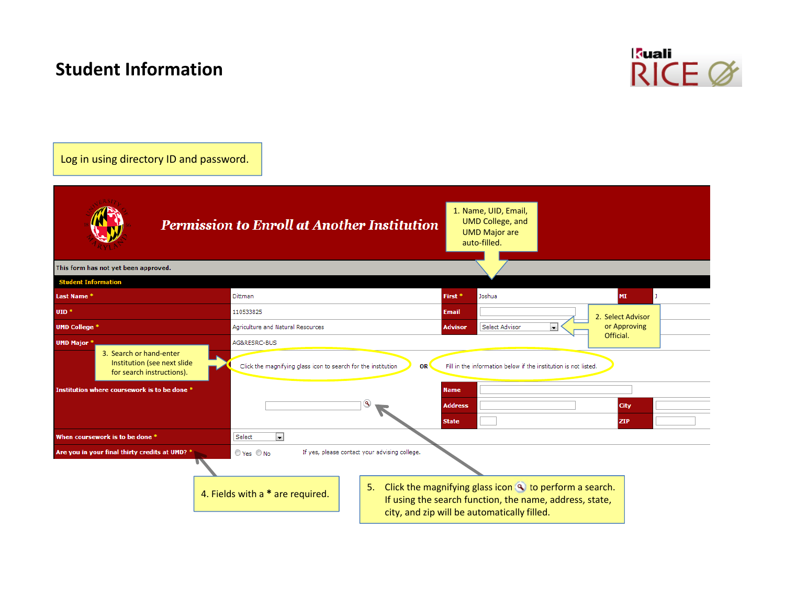## **Student Information**



### Log in using directory ID and password.

|                                                                                     | <b>Permission to Enroll at Another Institution</b>                         | 1. Name, UID, Email,<br><b>UMD College, and</b><br><b>UMD Major are</b><br>auto-filled.                                                                                  |                   |  |  |  |
|-------------------------------------------------------------------------------------|----------------------------------------------------------------------------|--------------------------------------------------------------------------------------------------------------------------------------------------------------------------|-------------------|--|--|--|
| This form has not yet been approved.                                                |                                                                            |                                                                                                                                                                          |                   |  |  |  |
| <b>Student Information</b>                                                          |                                                                            |                                                                                                                                                                          |                   |  |  |  |
| Last Name *                                                                         | Dittman                                                                    | First <sup>*</sup><br>Joshua                                                                                                                                             | MI                |  |  |  |
| $UID *$                                                                             | 110533825                                                                  | <b>Email</b>                                                                                                                                                             | 2. Select Advisor |  |  |  |
| <b>UMD College *</b>                                                                | Agriculture and Natural Resources                                          | $\overline{\phantom{a}}$<br>Select Advisor<br><b>Advisor</b>                                                                                                             | or Approving      |  |  |  |
| <b>UMD Major</b>                                                                    | AG&RESRC-BUS                                                               |                                                                                                                                                                          | Official.         |  |  |  |
| 3. Search or hand-enter<br>Institution (see next slide<br>for search instructions). | Click the magnifying glass icon to search for the institution<br><b>OR</b> | Fill in the information below if the institution is not listed.                                                                                                          |                   |  |  |  |
| Institution where coursework is to be done *                                        |                                                                            | <b>Name</b><br><b>Address</b><br><b>State</b>                                                                                                                            |                   |  |  |  |
| When coursework is to be done *                                                     | $\vert$ $\vert$<br>Select                                                  |                                                                                                                                                                          |                   |  |  |  |
| Are you in your final thirty credits at UMD? *                                      | ⊙ Yes © No<br>If yes, please contact your advising college.                |                                                                                                                                                                          |                   |  |  |  |
|                                                                                     | 5.<br>4. Fields with a * are required.                                     | Click the magnifying glass icon <a> o</a> to perform a search.<br>If using the search function, the name, address, state,<br>city, and zip will be automatically filled. |                   |  |  |  |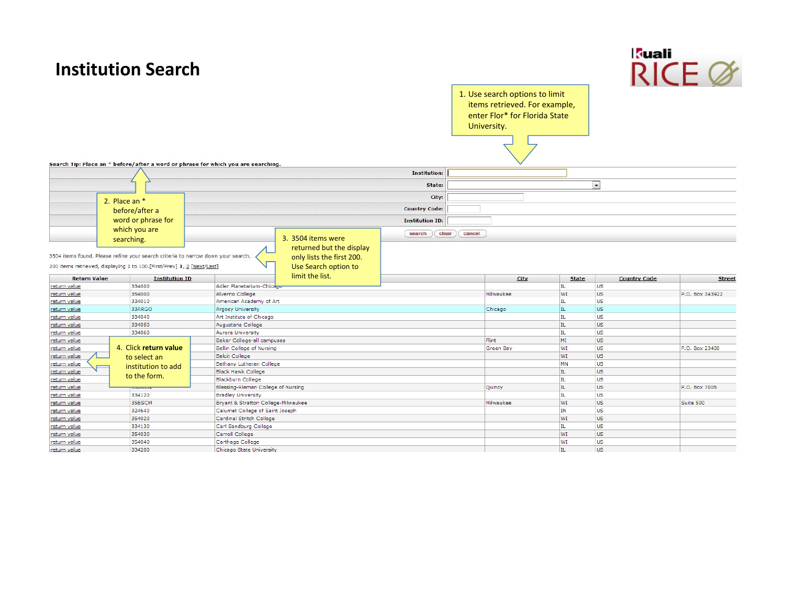| 1. Use search options to limit<br>items retrieved. For example,<br>enter Flor* for Florida State<br>University.<br>Search Tip: Place an * before/after a word or phrase for which you are searching.<br><b>Institution:</b><br>$\overline{ }$<br>State:<br>City:<br>2. Place an *<br><b>Country Code:</b><br>before/after a<br>word or phrase for<br><b>Institution ID:</b><br>which you are<br>clear<br>cancel<br>search<br>3. 3504 items were<br>searching.<br>returned but the display<br>3504 items found. Please refine your search criteria to narrow down your search.<br>only lists the first 200.<br>200 items retrieved, displaying 1 to 100. [First/Prev] 1, 2 [Next/Last]<br>Use Search option to<br>limit the list.<br><b>Return Value</b><br>City<br><b>Country Code</b><br><b>Institution ID</b><br><b>State</b><br><b>Street</b><br>334000<br>Adler Planetarium-Chicago<br>US.<br>IL<br>return value<br>US <sup>-</sup><br>354000<br>Alverno College<br>Milwaukee<br>WI<br>P.O. Box 343922<br>return value<br><b>US</b><br>American Academy of Art<br>IL.<br>return value<br>334010<br><b>US</b><br>33ARGO<br>Argosy University<br>IL.<br>Chicago<br>return value<br>334040<br>Art Institute of Chicago<br>IL.<br><b>US</b><br>return value<br><b>US</b><br>IL.<br>334050<br>Augustana College<br>return value<br>ĪЦ.<br><b>US</b><br>334060<br><b>Aurora University</b><br>return value<br><b>US</b><br>MI<br>Baker College-all campuses<br>Flint<br>return value<br>4. Click return value<br><b>US</b><br>Bellin College of Nursing<br>WI<br>return value<br>Green Bay<br>P.O. Box 23400<br><b>US</b><br>WI<br><b>Beloit College</b><br>return value<br>to select an<br><b>US</b><br>Bethany Lutheran College<br><b>MN</b><br><u>return value</u><br>institution to add<br><b>Black Hawk College</b><br><b>US</b><br>return value<br>IL<br>to the form.<br><b>US</b><br>Blackburn College<br>IL.<br>return value<br>Blessing-Rieman College of Nursing<br>IL.<br><b>US</b><br>P.O. Box 7005<br>return value<br>Quincy<br><b>UUDING</b><br><b>US</b><br>334120<br><b>Bradley University</b><br>IL<br>return value<br><b>US</b><br>35BSCM<br>Bryant & Stratton College-Milwaukee<br>WI<br>Milwaukee<br>Suite 500<br>return value<br><b>US</b><br>324640<br>Calumet College of Saint Joseph<br>IN<br>return value<br><b>US</b><br>354020<br>Cardinal Stritch College<br>WI<br>return value<br>334130<br>Carl Sandburg College<br><b>US</b><br>return value<br>IL.<br><b>US</b><br>354030<br>Carroll College<br>WI<br>return value<br><b>US</b><br>354040<br>WI<br>return value<br>Carthage College |              | <b>Institution Search</b> |                          |  |     | kuali     | $RICF$ $\alpha$ |
|-------------------------------------------------------------------------------------------------------------------------------------------------------------------------------------------------------------------------------------------------------------------------------------------------------------------------------------------------------------------------------------------------------------------------------------------------------------------------------------------------------------------------------------------------------------------------------------------------------------------------------------------------------------------------------------------------------------------------------------------------------------------------------------------------------------------------------------------------------------------------------------------------------------------------------------------------------------------------------------------------------------------------------------------------------------------------------------------------------------------------------------------------------------------------------------------------------------------------------------------------------------------------------------------------------------------------------------------------------------------------------------------------------------------------------------------------------------------------------------------------------------------------------------------------------------------------------------------------------------------------------------------------------------------------------------------------------------------------------------------------------------------------------------------------------------------------------------------------------------------------------------------------------------------------------------------------------------------------------------------------------------------------------------------------------------------------------------------------------------------------------------------------------------------------------------------------------------------------------------------------------------------------------------------------------------------------------------------------------------------------------------------------------------------------------------------------------------------------------------------------------------------------------------------------------------------------------------------------------------------|--------------|---------------------------|--------------------------|--|-----|-----------|-----------------|
|                                                                                                                                                                                                                                                                                                                                                                                                                                                                                                                                                                                                                                                                                                                                                                                                                                                                                                                                                                                                                                                                                                                                                                                                                                                                                                                                                                                                                                                                                                                                                                                                                                                                                                                                                                                                                                                                                                                                                                                                                                                                                                                                                                                                                                                                                                                                                                                                                                                                                                                                                                                                                   |              |                           |                          |  |     |           |                 |
|                                                                                                                                                                                                                                                                                                                                                                                                                                                                                                                                                                                                                                                                                                                                                                                                                                                                                                                                                                                                                                                                                                                                                                                                                                                                                                                                                                                                                                                                                                                                                                                                                                                                                                                                                                                                                                                                                                                                                                                                                                                                                                                                                                                                                                                                                                                                                                                                                                                                                                                                                                                                                   |              |                           |                          |  |     |           |                 |
|                                                                                                                                                                                                                                                                                                                                                                                                                                                                                                                                                                                                                                                                                                                                                                                                                                                                                                                                                                                                                                                                                                                                                                                                                                                                                                                                                                                                                                                                                                                                                                                                                                                                                                                                                                                                                                                                                                                                                                                                                                                                                                                                                                                                                                                                                                                                                                                                                                                                                                                                                                                                                   |              |                           |                          |  |     |           |                 |
|                                                                                                                                                                                                                                                                                                                                                                                                                                                                                                                                                                                                                                                                                                                                                                                                                                                                                                                                                                                                                                                                                                                                                                                                                                                                                                                                                                                                                                                                                                                                                                                                                                                                                                                                                                                                                                                                                                                                                                                                                                                                                                                                                                                                                                                                                                                                                                                                                                                                                                                                                                                                                   |              |                           |                          |  |     |           |                 |
|                                                                                                                                                                                                                                                                                                                                                                                                                                                                                                                                                                                                                                                                                                                                                                                                                                                                                                                                                                                                                                                                                                                                                                                                                                                                                                                                                                                                                                                                                                                                                                                                                                                                                                                                                                                                                                                                                                                                                                                                                                                                                                                                                                                                                                                                                                                                                                                                                                                                                                                                                                                                                   |              |                           |                          |  |     |           |                 |
|                                                                                                                                                                                                                                                                                                                                                                                                                                                                                                                                                                                                                                                                                                                                                                                                                                                                                                                                                                                                                                                                                                                                                                                                                                                                                                                                                                                                                                                                                                                                                                                                                                                                                                                                                                                                                                                                                                                                                                                                                                                                                                                                                                                                                                                                                                                                                                                                                                                                                                                                                                                                                   |              |                           |                          |  |     |           |                 |
|                                                                                                                                                                                                                                                                                                                                                                                                                                                                                                                                                                                                                                                                                                                                                                                                                                                                                                                                                                                                                                                                                                                                                                                                                                                                                                                                                                                                                                                                                                                                                                                                                                                                                                                                                                                                                                                                                                                                                                                                                                                                                                                                                                                                                                                                                                                                                                                                                                                                                                                                                                                                                   |              |                           |                          |  |     |           |                 |
|                                                                                                                                                                                                                                                                                                                                                                                                                                                                                                                                                                                                                                                                                                                                                                                                                                                                                                                                                                                                                                                                                                                                                                                                                                                                                                                                                                                                                                                                                                                                                                                                                                                                                                                                                                                                                                                                                                                                                                                                                                                                                                                                                                                                                                                                                                                                                                                                                                                                                                                                                                                                                   |              |                           |                          |  |     |           |                 |
|                                                                                                                                                                                                                                                                                                                                                                                                                                                                                                                                                                                                                                                                                                                                                                                                                                                                                                                                                                                                                                                                                                                                                                                                                                                                                                                                                                                                                                                                                                                                                                                                                                                                                                                                                                                                                                                                                                                                                                                                                                                                                                                                                                                                                                                                                                                                                                                                                                                                                                                                                                                                                   |              |                           |                          |  |     |           |                 |
|                                                                                                                                                                                                                                                                                                                                                                                                                                                                                                                                                                                                                                                                                                                                                                                                                                                                                                                                                                                                                                                                                                                                                                                                                                                                                                                                                                                                                                                                                                                                                                                                                                                                                                                                                                                                                                                                                                                                                                                                                                                                                                                                                                                                                                                                                                                                                                                                                                                                                                                                                                                                                   |              |                           |                          |  |     |           |                 |
|                                                                                                                                                                                                                                                                                                                                                                                                                                                                                                                                                                                                                                                                                                                                                                                                                                                                                                                                                                                                                                                                                                                                                                                                                                                                                                                                                                                                                                                                                                                                                                                                                                                                                                                                                                                                                                                                                                                                                                                                                                                                                                                                                                                                                                                                                                                                                                                                                                                                                                                                                                                                                   |              |                           |                          |  |     |           |                 |
|                                                                                                                                                                                                                                                                                                                                                                                                                                                                                                                                                                                                                                                                                                                                                                                                                                                                                                                                                                                                                                                                                                                                                                                                                                                                                                                                                                                                                                                                                                                                                                                                                                                                                                                                                                                                                                                                                                                                                                                                                                                                                                                                                                                                                                                                                                                                                                                                                                                                                                                                                                                                                   |              |                           |                          |  |     |           |                 |
|                                                                                                                                                                                                                                                                                                                                                                                                                                                                                                                                                                                                                                                                                                                                                                                                                                                                                                                                                                                                                                                                                                                                                                                                                                                                                                                                                                                                                                                                                                                                                                                                                                                                                                                                                                                                                                                                                                                                                                                                                                                                                                                                                                                                                                                                                                                                                                                                                                                                                                                                                                                                                   |              |                           |                          |  |     |           |                 |
|                                                                                                                                                                                                                                                                                                                                                                                                                                                                                                                                                                                                                                                                                                                                                                                                                                                                                                                                                                                                                                                                                                                                                                                                                                                                                                                                                                                                                                                                                                                                                                                                                                                                                                                                                                                                                                                                                                                                                                                                                                                                                                                                                                                                                                                                                                                                                                                                                                                                                                                                                                                                                   |              |                           |                          |  |     |           |                 |
|                                                                                                                                                                                                                                                                                                                                                                                                                                                                                                                                                                                                                                                                                                                                                                                                                                                                                                                                                                                                                                                                                                                                                                                                                                                                                                                                                                                                                                                                                                                                                                                                                                                                                                                                                                                                                                                                                                                                                                                                                                                                                                                                                                                                                                                                                                                                                                                                                                                                                                                                                                                                                   |              |                           |                          |  |     |           |                 |
|                                                                                                                                                                                                                                                                                                                                                                                                                                                                                                                                                                                                                                                                                                                                                                                                                                                                                                                                                                                                                                                                                                                                                                                                                                                                                                                                                                                                                                                                                                                                                                                                                                                                                                                                                                                                                                                                                                                                                                                                                                                                                                                                                                                                                                                                                                                                                                                                                                                                                                                                                                                                                   |              |                           |                          |  |     |           |                 |
|                                                                                                                                                                                                                                                                                                                                                                                                                                                                                                                                                                                                                                                                                                                                                                                                                                                                                                                                                                                                                                                                                                                                                                                                                                                                                                                                                                                                                                                                                                                                                                                                                                                                                                                                                                                                                                                                                                                                                                                                                                                                                                                                                                                                                                                                                                                                                                                                                                                                                                                                                                                                                   |              |                           |                          |  |     |           |                 |
|                                                                                                                                                                                                                                                                                                                                                                                                                                                                                                                                                                                                                                                                                                                                                                                                                                                                                                                                                                                                                                                                                                                                                                                                                                                                                                                                                                                                                                                                                                                                                                                                                                                                                                                                                                                                                                                                                                                                                                                                                                                                                                                                                                                                                                                                                                                                                                                                                                                                                                                                                                                                                   |              |                           |                          |  |     |           |                 |
|                                                                                                                                                                                                                                                                                                                                                                                                                                                                                                                                                                                                                                                                                                                                                                                                                                                                                                                                                                                                                                                                                                                                                                                                                                                                                                                                                                                                                                                                                                                                                                                                                                                                                                                                                                                                                                                                                                                                                                                                                                                                                                                                                                                                                                                                                                                                                                                                                                                                                                                                                                                                                   |              |                           |                          |  |     |           |                 |
|                                                                                                                                                                                                                                                                                                                                                                                                                                                                                                                                                                                                                                                                                                                                                                                                                                                                                                                                                                                                                                                                                                                                                                                                                                                                                                                                                                                                                                                                                                                                                                                                                                                                                                                                                                                                                                                                                                                                                                                                                                                                                                                                                                                                                                                                                                                                                                                                                                                                                                                                                                                                                   |              |                           |                          |  |     |           |                 |
|                                                                                                                                                                                                                                                                                                                                                                                                                                                                                                                                                                                                                                                                                                                                                                                                                                                                                                                                                                                                                                                                                                                                                                                                                                                                                                                                                                                                                                                                                                                                                                                                                                                                                                                                                                                                                                                                                                                                                                                                                                                                                                                                                                                                                                                                                                                                                                                                                                                                                                                                                                                                                   |              |                           |                          |  |     |           |                 |
|                                                                                                                                                                                                                                                                                                                                                                                                                                                                                                                                                                                                                                                                                                                                                                                                                                                                                                                                                                                                                                                                                                                                                                                                                                                                                                                                                                                                                                                                                                                                                                                                                                                                                                                                                                                                                                                                                                                                                                                                                                                                                                                                                                                                                                                                                                                                                                                                                                                                                                                                                                                                                   |              |                           |                          |  |     |           |                 |
|                                                                                                                                                                                                                                                                                                                                                                                                                                                                                                                                                                                                                                                                                                                                                                                                                                                                                                                                                                                                                                                                                                                                                                                                                                                                                                                                                                                                                                                                                                                                                                                                                                                                                                                                                                                                                                                                                                                                                                                                                                                                                                                                                                                                                                                                                                                                                                                                                                                                                                                                                                                                                   |              |                           |                          |  |     |           |                 |
|                                                                                                                                                                                                                                                                                                                                                                                                                                                                                                                                                                                                                                                                                                                                                                                                                                                                                                                                                                                                                                                                                                                                                                                                                                                                                                                                                                                                                                                                                                                                                                                                                                                                                                                                                                                                                                                                                                                                                                                                                                                                                                                                                                                                                                                                                                                                                                                                                                                                                                                                                                                                                   |              |                           |                          |  |     |           |                 |
|                                                                                                                                                                                                                                                                                                                                                                                                                                                                                                                                                                                                                                                                                                                                                                                                                                                                                                                                                                                                                                                                                                                                                                                                                                                                                                                                                                                                                                                                                                                                                                                                                                                                                                                                                                                                                                                                                                                                                                                                                                                                                                                                                                                                                                                                                                                                                                                                                                                                                                                                                                                                                   |              |                           |                          |  |     |           |                 |
|                                                                                                                                                                                                                                                                                                                                                                                                                                                                                                                                                                                                                                                                                                                                                                                                                                                                                                                                                                                                                                                                                                                                                                                                                                                                                                                                                                                                                                                                                                                                                                                                                                                                                                                                                                                                                                                                                                                                                                                                                                                                                                                                                                                                                                                                                                                                                                                                                                                                                                                                                                                                                   |              |                           |                          |  |     |           |                 |
|                                                                                                                                                                                                                                                                                                                                                                                                                                                                                                                                                                                                                                                                                                                                                                                                                                                                                                                                                                                                                                                                                                                                                                                                                                                                                                                                                                                                                                                                                                                                                                                                                                                                                                                                                                                                                                                                                                                                                                                                                                                                                                                                                                                                                                                                                                                                                                                                                                                                                                                                                                                                                   |              |                           |                          |  |     |           |                 |
|                                                                                                                                                                                                                                                                                                                                                                                                                                                                                                                                                                                                                                                                                                                                                                                                                                                                                                                                                                                                                                                                                                                                                                                                                                                                                                                                                                                                                                                                                                                                                                                                                                                                                                                                                                                                                                                                                                                                                                                                                                                                                                                                                                                                                                                                                                                                                                                                                                                                                                                                                                                                                   |              |                           |                          |  |     |           |                 |
|                                                                                                                                                                                                                                                                                                                                                                                                                                                                                                                                                                                                                                                                                                                                                                                                                                                                                                                                                                                                                                                                                                                                                                                                                                                                                                                                                                                                                                                                                                                                                                                                                                                                                                                                                                                                                                                                                                                                                                                                                                                                                                                                                                                                                                                                                                                                                                                                                                                                                                                                                                                                                   |              |                           |                          |  |     |           |                 |
|                                                                                                                                                                                                                                                                                                                                                                                                                                                                                                                                                                                                                                                                                                                                                                                                                                                                                                                                                                                                                                                                                                                                                                                                                                                                                                                                                                                                                                                                                                                                                                                                                                                                                                                                                                                                                                                                                                                                                                                                                                                                                                                                                                                                                                                                                                                                                                                                                                                                                                                                                                                                                   |              |                           |                          |  |     |           |                 |
|                                                                                                                                                                                                                                                                                                                                                                                                                                                                                                                                                                                                                                                                                                                                                                                                                                                                                                                                                                                                                                                                                                                                                                                                                                                                                                                                                                                                                                                                                                                                                                                                                                                                                                                                                                                                                                                                                                                                                                                                                                                                                                                                                                                                                                                                                                                                                                                                                                                                                                                                                                                                                   | return value | 334200                    | Chicago State University |  | IL. | <b>US</b> |                 |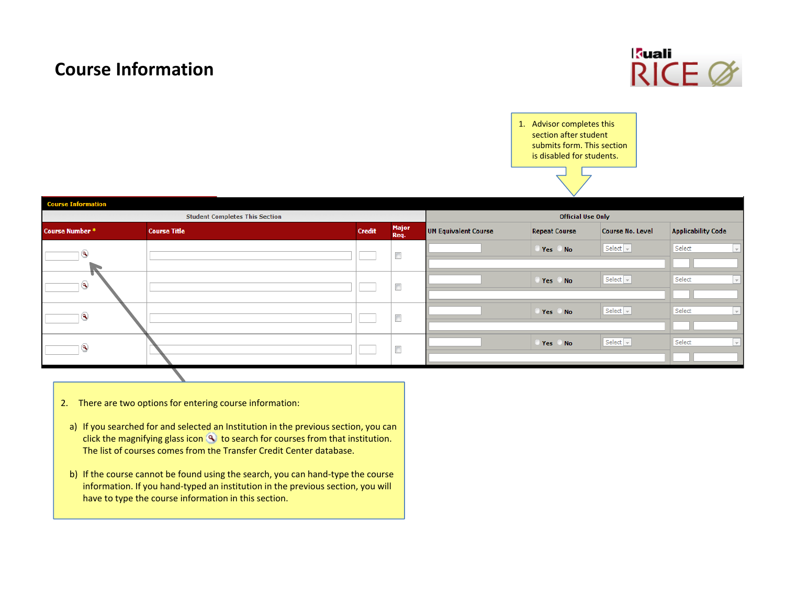## **Course Information**



1. Advisor completes this section after student submits form. This section is disabled for students.

| <b>Course Information</b> |                                       |               |                                   |                             |                      |                                 |                                    |  |  |  |
|---------------------------|---------------------------------------|---------------|-----------------------------------|-----------------------------|----------------------|---------------------------------|------------------------------------|--|--|--|
|                           | <b>Student Completes This Section</b> |               | <b>Official Use Only</b>          |                             |                      |                                 |                                    |  |  |  |
| <b>Course Number*</b>     | <b>Course Title</b>                   | <b>Credit</b> | <b>Major</b><br>Req.              | <b>UM Equivalent Course</b> | <b>Repeat Course</b> | <b>Course No. Level</b>         | <b>Applicability Code</b>          |  |  |  |
| $^{\circ}$                |                                       |               | $\Box$                            |                             | Yes No               | Select $\vert$ $\vert$          | Select<br>$\sim$                   |  |  |  |
|                           |                                       |               |                                   |                             |                      |                                 |                                    |  |  |  |
| $^{\circ}$                |                                       |               | $\overline{a}$<br><b>COLLEGE</b>  |                             | Yes No               | Select $\vert \mathbf{v} \vert$ | $\overline{\mathcal{A}}$<br>Select |  |  |  |
|                           |                                       |               |                                   |                             |                      |                                 |                                    |  |  |  |
| $^{\circ}$                |                                       |               | $\overline{a}$<br><b>Contract</b> |                             | Yes No               | Select $\overline{\mathbf{v}}$  | $\overline{\phantom{a}}$<br>Select |  |  |  |
|                           |                                       |               |                                   |                             |                      |                                 |                                    |  |  |  |
| $^{\circ}$                |                                       |               | $\Box$                            |                             | Yes No               | Select $\vert$ $\vert$          | $\overline{\mathcal{A}}$<br>Select |  |  |  |
|                           |                                       |               |                                   |                             |                      |                                 |                                    |  |  |  |

- 2. There are two options for entering course information:
- a) If you searched for and selected an Institution in the previous section, you can click the magnifying glass icon to search for courses from that institution. The list of courses comes from the Transfer Credit Center database.
- b) If the course cannot be found using the search, you can hand-type the course information. If you hand‐typed an institution in the previous section, you will have to type the course information in this section.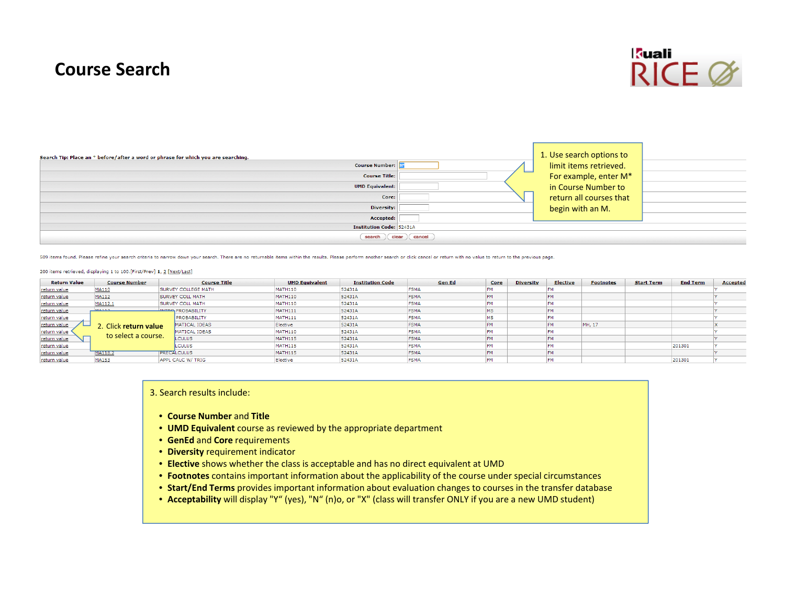## **Course Search**



| Search Tip: Place an * before/after a word or phrase for which you are searching. | 1. Use search options to |  |
|-----------------------------------------------------------------------------------|--------------------------|--|
| <b>Course Number:</b>                                                             | limit items retrieved.   |  |
| --<br><b>Course Title:</b>                                                        | For example, enter M*    |  |
| <b>UMD Equivalent:</b>                                                            | in Course Number to      |  |
| Core:                                                                             | return all courses that  |  |
| Diversity:                                                                        | begin with an M.         |  |
| Accepted:                                                                         |                          |  |
| <b>Institution Code: 52431A</b>                                                   |                          |  |
| $clean$ $cancel$ $cancel$<br>search                                               |                          |  |

509 items found. Please refine your search criteria to narrow down your search. There are no returnable items within the results. Please perform another search or click cancel or return with no value to return to the previ

#### 200 items retrieved, displaying 1 to 100.[First/Prev] 1, 2 [Next/Last]

| <b>Return Value</b> | <b>Course Number</b> |  | <b>Course Title</b>        | <b>UMD Equivalent</b> | <b>Institution Code</b> | <b>Gen Ed</b> | Core      | <b>Diversity</b> | <b>Elective</b> | <b>Footnotes</b> | <b>Start Term</b> | <b>End Term</b> | <b>Accepted</b> |
|---------------------|----------------------|--|----------------------------|-----------------------|-------------------------|---------------|-----------|------------------|-----------------|------------------|-------------------|-----------------|-----------------|
| return value        | MA110                |  | <b>SURVEY COLLEGE MATH</b> | MATH110               | 52431A                  | <b>FSMA</b>   | <b>FM</b> |                  |                 |                  |                   |                 |                 |
| return value        | MA112                |  | <b>SURVEY COLL MATH</b>    | MATH110               | 52431A                  | <b>FSMA</b>   | <b>FM</b> |                  |                 |                  |                   |                 |                 |
| return value        | MA112.1              |  | <b>SURVEY COLL MATH</b>    | MATH110               | 52431A                  | <b>FSMA</b>   | FM        |                  | FM              |                  |                   |                 |                 |
| return value        | <b>MA112</b>         |  | <b>INTRO PROBABILITY</b>   | MATH111               | 52431A                  | <b>FSMA</b>   | <b>MS</b> |                  | FM              |                  |                   |                 |                 |
| return value        |                      |  | <b>PROBABILITY</b>         | <b>MATH111</b>        | 52431A                  | <b>FSMA</b>   | MS        |                  |                 |                  |                   |                 |                 |
| return value        | Click return value   |  | MATICAL IDEAS              | Elective              | 52431A                  | <b>FSMA</b>   | FM        |                  | <b>FM</b>       | MH, 17           |                   |                 |                 |
| return value        |                      |  | MATICAL IDEAS              | <b>MATH110</b>        | 52431A                  | <b>FSMA</b>   | <b>FM</b> |                  |                 |                  |                   |                 |                 |
| return value        | to select a course.  |  | LCULUS                     | MATH115               | 52431A                  | <b>FSMA</b>   | <b>FM</b> |                  |                 |                  |                   |                 |                 |
| return value        |                      |  | LCULUS                     | MATH115               | 52431A                  | <b>FSMA</b>   | <b>FM</b> |                  |                 |                  |                   | 201301          |                 |
| return value        | <b>TMA118.2</b>      |  | <b>TPRECALCULUS</b>        | MATH115               | 52431A                  | <b>FSMA</b>   | <b>FM</b> |                  |                 |                  |                   |                 |                 |
| return value        | MA153                |  | APPL CALC W/ TRIG          | Elective              | 52431A                  | <b>FSMA</b>   | <b>FM</b> |                  | <b>FM</b>       |                  |                   | 201301          |                 |

#### 3. Search results include:

- **Course Number** and **Title**
- **UMD Equivalent** course as reviewed by the appropriate department
- **GenEd** and **Core** requirements
- **Diversity** requirement indicator
- **Elective** shows whether the class is acceptable and has no direct equivalent at UMD
- **Footnotes** contains important information about the applicability of the course under special circumstances
- **Start/End Terms** provides important information about evaluation changes to courses in the transfer database
- **Acceptability** will display "Y" (yes), "N" (n)o, or "X" (class will transfer ONLY if you are <sup>a</sup> new UMD student)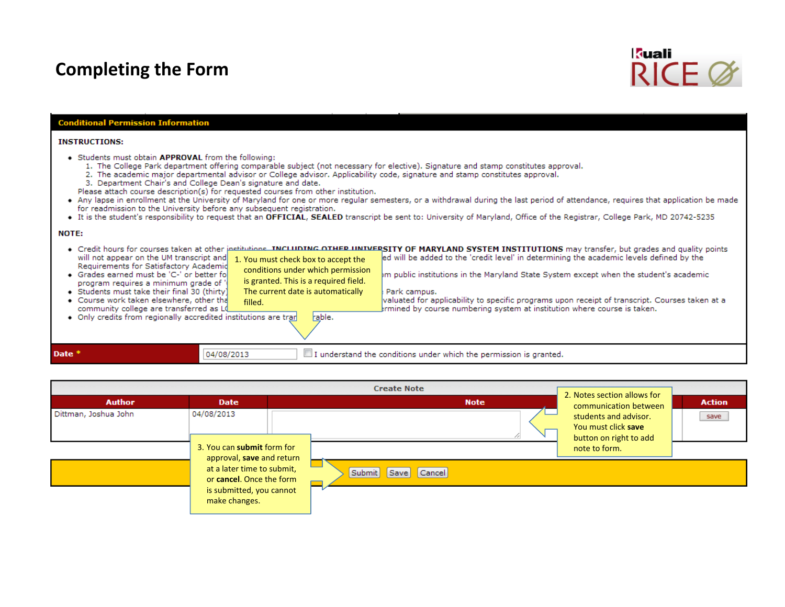## **Completing the Form**



### **Conditional Permission Information**

#### **INSTRUCTIONS:**

- Students must obtain APPROVAL from the following:
	- 1. The College Park department offering comparable subject (not necessary for elective). Signature and stamp constitutes approval.
	- 2. The academic major departmental advisor or College advisor. Applicability code, signature and stamp constitutes approval.
	- 3. Department Chair's and College Dean's signature and date.
	- Please attach course description(s) for requested courses from other institution.

filled.

- Any lapse in enrollment at the University of Maryland for one or more regular semesters, or a withdrawal during the last period of attendance, requires that application be made for readmission to the University before any subsequent registration.
- It is the student's responsibility to request that an OFFICIAL, SEALED transcript be sent to: University of Maryland, Office of the Registrar, College Park, MD 20742-5235

#### NOTE:

Date \*

. Credit hours for courses taken at other jestitutions. INCLUDING OTHER UNIVERSITY OF MARYLAND SYSTEM INSTITUTIONS may transfer, but grades and quality points will not appear on the UM transcript and ed will be added to the 'credit level' in determining the academic levels defined by the 1. You must check box to accept the Requirements for Satisfactory Academic conditions under which permission • Grades earned must be 'C-' or better fo om public institutions in the Maryland State System except when the student's academic  $\,$ is granted. This is <sup>a</sup> required field.

Park campus.

valuated for applicability to specific programs upon receipt of transcript. Courses taken at a

rmined by course numbering system at institution where course is taken.

- program requires a minimum grade of · Students must take their final 30 (thirty) The current date is automatically
- Course work taken elsewhere, other tha community college are transferred as LQ

. Only credits from regionally accredited institutions are tran

rable.

04/08/2013  $\Box$  I understand the conditions under which the permission is granted.

|                      |                                                                                                                                  | <b>Create Note</b>       |             | 2. Notes section allows for                                                             |               |
|----------------------|----------------------------------------------------------------------------------------------------------------------------------|--------------------------|-------------|-----------------------------------------------------------------------------------------|---------------|
| <b>Author</b>        | <b>Date</b>                                                                                                                      |                          | <b>Note</b> | communication between                                                                   | <b>Action</b> |
| Dittman, Joshua John | 04/08/2013<br>3. You can submit form for                                                                                         |                          |             | students and advisor.<br>You must click save<br>button on right to add<br>note to form. | save          |
|                      | approval, save and return<br>at a later time to submit,<br>or cancel. Once the form<br>is submitted, you cannot<br>make changes. | Submit<br>Cancel<br>Save |             |                                                                                         |               |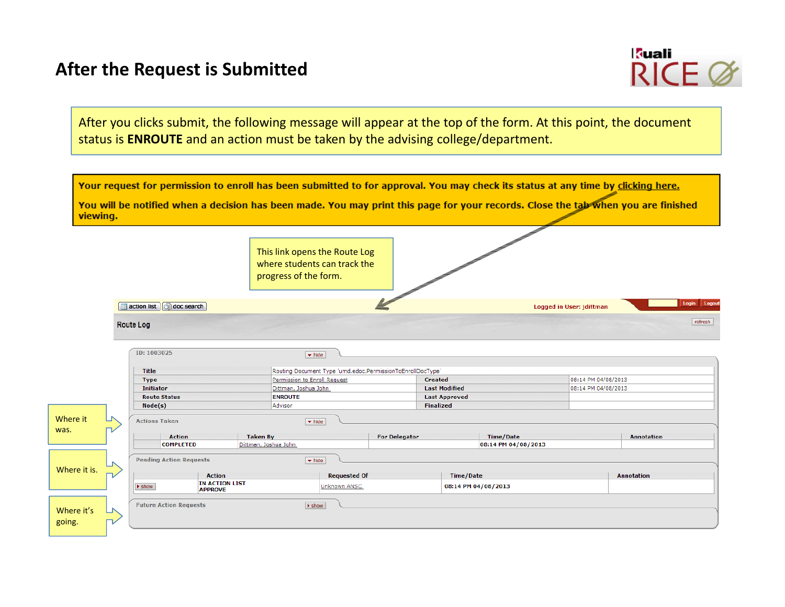## **After the Request is Submitted**



After you clicks submit, the following message will appear at the top of the form. At this point, the document status is **ENROUTE** and an action must be taken by the advising college/department.

| viewing.             | Your request for permission to enroll has been submitted to for approval. You may check its status at any time by clicking here.<br>You will be notified when a decision has been made. You may print this page for your records. Close the tab when you are finished |                      |                                                                                        |                                                                              |                      |                          |                   |
|----------------------|-----------------------------------------------------------------------------------------------------------------------------------------------------------------------------------------------------------------------------------------------------------------------|----------------------|----------------------------------------------------------------------------------------|------------------------------------------------------------------------------|----------------------|--------------------------|-------------------|
|                      |                                                                                                                                                                                                                                                                       |                      | This link opens the Route Log<br>where students can track the<br>progress of the form. |                                                                              |                      |                          |                   |
|                      | action list G doc search                                                                                                                                                                                                                                              |                      |                                                                                        |                                                                              |                      | Logged in User: jdittman | Login Logout      |
|                      | <b>Route Log</b>                                                                                                                                                                                                                                                      |                      |                                                                                        |                                                                              |                      |                          | refresh           |
|                      | ID: 1003025                                                                                                                                                                                                                                                           |                      | $\blacktriangleright$ hide                                                             |                                                                              |                      |                          |                   |
|                      |                                                                                                                                                                                                                                                                       |                      |                                                                                        |                                                                              |                      |                          |                   |
|                      | Title<br><b>Type</b>                                                                                                                                                                                                                                                  |                      | Permission to Enroll Request                                                           | Routing Document Type 'umd.edoc.PermissionToEnrollDocType'<br><b>Created</b> |                      | 08:14 PM 04/08/2013      |                   |
|                      | <b>Initiator</b>                                                                                                                                                                                                                                                      |                      | Dittman, Joshua John                                                                   |                                                                              | <b>Last Modified</b> | 08:14 PM 04/08/2013      |                   |
|                      | <b>Route Status</b>                                                                                                                                                                                                                                                   | <b>ENROUTE</b>       |                                                                                        |                                                                              | <b>Last Approved</b> |                          |                   |
|                      | Node(s)                                                                                                                                                                                                                                                               | Advisor              |                                                                                        | <b>Finalized</b>                                                             |                      |                          |                   |
| Where it             | <b>Actions Taken</b>                                                                                                                                                                                                                                                  |                      | $\blacktriangleright$ hide                                                             |                                                                              |                      |                          |                   |
| was.                 | <b>Action</b>                                                                                                                                                                                                                                                         | <b>Taken By</b>      |                                                                                        | <b>For Delegator</b>                                                         | <b>Time/Date</b>     |                          | <b>Annotation</b> |
|                      | <b>COMPLETED</b>                                                                                                                                                                                                                                                      | Dittman, Joshua John |                                                                                        |                                                                              | 08:14 PM 04/08/2013  |                          |                   |
|                      |                                                                                                                                                                                                                                                                       |                      |                                                                                        |                                                                              |                      |                          |                   |
|                      | <b>Pending Action Requests</b>                                                                                                                                                                                                                                        |                      | $\blacktriangleright$ hide                                                             |                                                                              |                      |                          |                   |
| Where it is.         | <b>Action</b>                                                                                                                                                                                                                                                         |                      | <b>Requested Of</b>                                                                    |                                                                              | Time/Date            |                          | <b>Annotation</b> |
|                      |                                                                                                                                                                                                                                                                       | Unknown ANSC         |                                                                                        |                                                                              |                      |                          |                   |
|                      | <b>IN ACTION LIST</b><br>$\blacktriangleright$ show<br><b>APPROVE</b>                                                                                                                                                                                                 |                      |                                                                                        |                                                                              | 08:14 PM 04/08/2013  |                          |                   |
| Where it's<br>going. | <b>Future Action Requests</b>                                                                                                                                                                                                                                         |                      | $\blacktriangleright$ show                                                             |                                                                              |                      |                          |                   |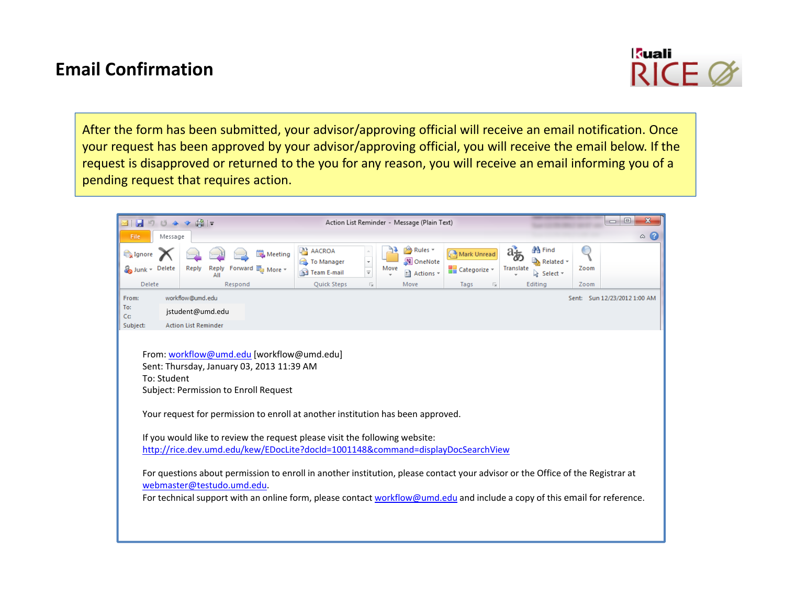## **Email Confirmation**



After the form has been submitted, your advisor/approving official will receive an email notification. Once your request has been approved by your advisor/approving official, you will receive the email below. If the request is disapproved or returned to the you for any reason, you will receive an email informing you of <sup>a</sup> pending request that requires action.

| 図 日 り じ 4                                                                                                                                                                                                                                                                                                                                                                                                                                                                                                                                                                                                                                                                                                                        |         | . L\$ 1 =<br>$\Phi$   |         |                                         |                                                       |                                              |      | Action List Reminder - Message (Plain Text) |                             |                 |                                            |      | ▣<br>$\mathbf{x}$<br>$\overline{\phantom{a}}$ |
|----------------------------------------------------------------------------------------------------------------------------------------------------------------------------------------------------------------------------------------------------------------------------------------------------------------------------------------------------------------------------------------------------------------------------------------------------------------------------------------------------------------------------------------------------------------------------------------------------------------------------------------------------------------------------------------------------------------------------------|---------|-----------------------|---------|-----------------------------------------|-------------------------------------------------------|----------------------------------------------|------|---------------------------------------------|-----------------------------|-----------------|--------------------------------------------|------|-----------------------------------------------|
| File                                                                                                                                                                                                                                                                                                                                                                                                                                                                                                                                                                                                                                                                                                                             | Message |                       |         |                                         |                                                       |                                              |      |                                             |                             |                 |                                            |      | $\circ$ $\bullet$                             |
| Ignore<br>Junk - Delete                                                                                                                                                                                                                                                                                                                                                                                                                                                                                                                                                                                                                                                                                                          |         | Reply<br>Reply<br>All |         | Meeting<br>Forward <sub>50</sub> More * | <b>A</b> AACROA<br><b>B</b> To Manager<br>Team E-mail | $\boldsymbol{\mathrm{v}}$<br>$\frac{1}{\pi}$ | Move | Rules *<br>N OneNote<br>ी Actions *         | Mark Unread<br>Categorize v | aŁ<br>Translate | <b>角 Find</b><br>A Related *<br>a Select ▼ | Zoom |                                               |
| Delete                                                                                                                                                                                                                                                                                                                                                                                                                                                                                                                                                                                                                                                                                                                           |         |                       | Respond |                                         | Quick Steps                                           | $\overline{\mathbb{F}_M}$                    |      | Move                                        | Tags<br>同.                  |                 | Editing                                    | Zoom |                                               |
| From:                                                                                                                                                                                                                                                                                                                                                                                                                                                                                                                                                                                                                                                                                                                            |         | workflow@umd.edu      |         |                                         |                                                       |                                              |      |                                             |                             |                 |                                            |      | Sent: Sun 12/23/2012 1:00 AM                  |
| To:<br>Cc:                                                                                                                                                                                                                                                                                                                                                                                                                                                                                                                                                                                                                                                                                                                       |         | jstudent@umd.edu      |         |                                         |                                                       |                                              |      |                                             |                             |                 |                                            |      |                                               |
| Subject:                                                                                                                                                                                                                                                                                                                                                                                                                                                                                                                                                                                                                                                                                                                         |         |                       |         |                                         |                                                       |                                              |      |                                             |                             |                 |                                            |      |                                               |
| <b>Action List Reminder</b><br>From: workflow@umd.edu [workflow@umd.edu]<br>Sent: Thursday, January 03, 2013 11:39 AM<br>To: Student<br>Subject: Permission to Enroll Request<br>Your request for permission to enroll at another institution has been approved.<br>If you would like to review the request please visit the following website:<br>http://rice.dev.umd.edu/kew/EDocLite?docId=1001148&command=displayDocSearchView<br>For questions about permission to enroll in another institution, please contact your advisor or the Office of the Registrar at<br>webmaster@testudo.umd.edu.<br>For technical support with an online form, please contact workflow@umd.edu and include a copy of this email for reference. |         |                       |         |                                         |                                                       |                                              |      |                                             |                             |                 |                                            |      |                                               |